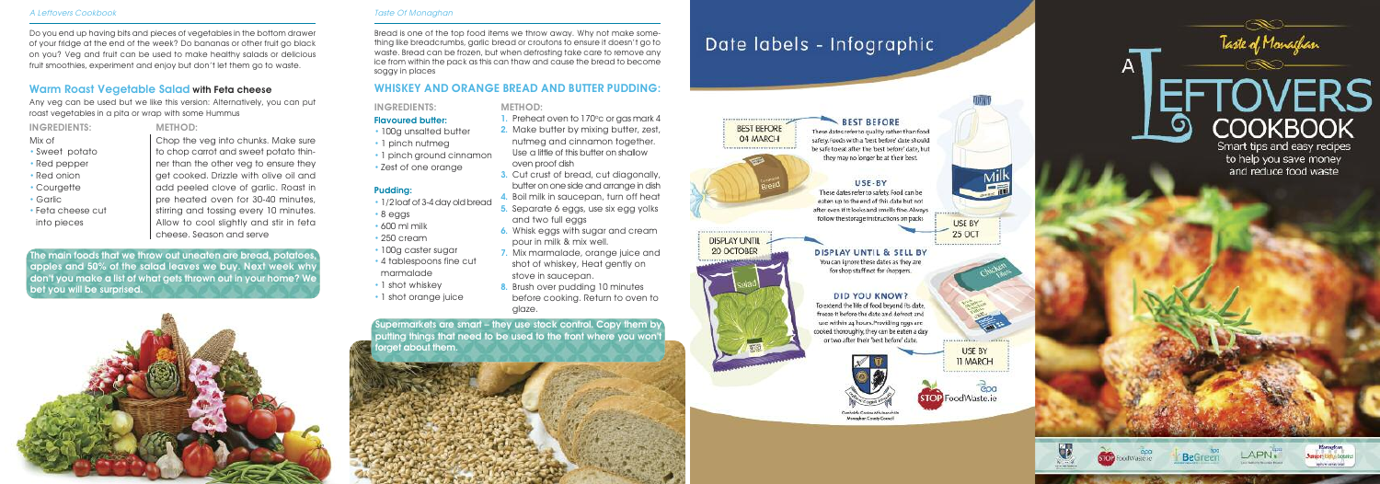# WHISKEY AND ORANGE BREAD AND BUTTER PUDDING:

### INGREDIENTS:

#### **Flavoured butter:**

- 100g unsalted butter
- 1 pinch nutmed
- 1 pinch ground cinnamon
- Zest of one orange

### Pudding:

- 1/2 loaf of 3-4 day old bread
- 8 eggs
- 600 ml milk
- 250 cream
- 100g caster sugar
- 4 tablespoons fine cut marmalade
- 1 shot whiskey
- 1 shot orange juice

Do you end up having bits and pieces of vegetables in the bottom drawer of your fridge at the end of the week? Do bananas or other fruit go black on you? Veg and fruit can be used to make healthy salads or delicious fruit smoothies, experiment and enjoy but don't let them go to waste.

> Chop the veg into chunks. Make sure to chop carrot and sweet potato thinner than the other veg to ensure they get cooked. Drizzle with olive oil and add peeled clove of garlic. Roast in pre heated oven for 30-40 minutes, stirring and tossing every 10 minutes. Allow to cool slightly and stir in feta cheese. Season and serve

Bread is one of the top food items we throw away. Why not make something like breadcrumbs, garlic bread or croutons to ensure it doesn't go to waste. Bread can be frozen, but when defrosting take care to remove any ice from within the pack as this can thaw and cause the bread to become soggy in places

# Warm Roast Vegetable Salad with Feta cheese

Any veg can be used but we like this version: Alternatively, you can put roast vegetables in a pita or wrap with some Hummus

INGREDIENTS: Mix of

• Sweet potato • Red pepper • Red onion • Courgette • Garlic

- 1. Preheat oven to 170°c or gas mark 4
- 2. Make butter by mixing butter, zest, nutmeg and cinnamon together. Use a little of this butter on shallow oven proof dish
- 3. Cut crust of bread, cut diagonally, butter on one side and arrange in dish
- 4. Boil milk in saucepan, turn off heat
- 5. Separate 6 eggs, use six egg yolks and two full eggs
- 6. Whisk eggs with sugar and cream pour in milk & mix well.
- 7. Mix marmalade, orange juice and shot of whiskey, Heat gently on stove in saucepan.
- 8. Brush over pudding 10 minutes before cooking. Return to oven to glaze.

• Feta cheese cut into pieces

#### METHOD:

The main foods that we throw out uneaten are bread, potatoes apples and 50% of the salad leaves we buy. Next week why don't you make a list of what gets thrown out in your home? We bet you will be surprised.



#### A Leftovers Cookbook Taste Of Monaghan

Supermarkets are smart – they use stock control. Copy them by putting things that need to be used to the front where you won't forget about them.







**BEST BEFORE** 

04 MARCH

# Date labels - Infographic

# **BEST BEFORE**

These dates refer to quality rather than food safety. Foods with a 'best before' date should be safe to eat after the 'best before' date, but they may no longer be at their best.

#### USE-BY

These dates refer to safety. Food can be eaten up to the end of this date but not after even if it looks and smells fine. Always follow the storage instructions on packs

#### DISPLAY UNTIL & SELL BY You can ignore these dates as they are

for shop staff not for shoppers.

#### DID YOU KNOW?

To extend the life of food beyond its date, freeze it before the date and defrost and use within 24 hours. Providing eggs are cooked thoroughly, they can be eaten a day or two after their 'best before' date.



Comhairle Cantae Mhuiseachdis **Venezhoù Cruste Cranz** 







**USE BY 11 MARCH** 



**STOP** FoodWaste.ie

Taste of Monachan

# **TOVERS COOKBOOK** Smart tips and easy recipes

to help you save money and reduce food waste



 $\mathsf{A}$ 





**Bonazhan Junior: Bifts totales Senate and cost** 

#### METHOD: